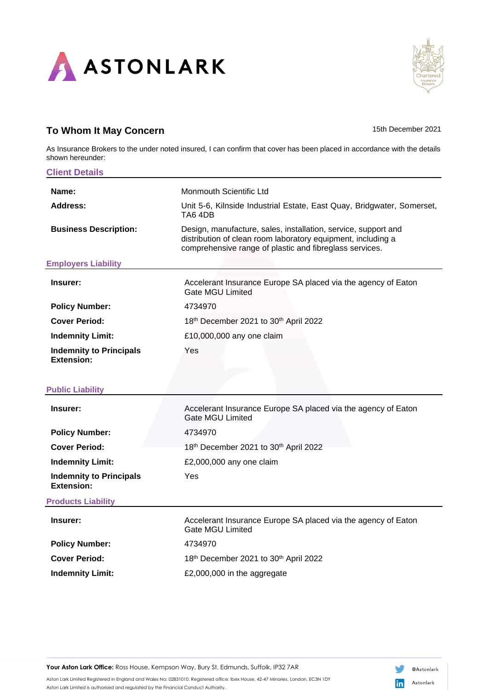

## **To Whom It May Concern** 15th December 2021

As Insurance Brokers to the under noted insured, I can confirm that cover has been placed in accordance with the details shown hereunder:

| <b>Client Details</b>                               |                                                                                                                                                                                           |
|-----------------------------------------------------|-------------------------------------------------------------------------------------------------------------------------------------------------------------------------------------------|
| Name:                                               | <b>Monmouth Scientific Ltd</b>                                                                                                                                                            |
| Address:                                            | Unit 5-6, Kilnside Industrial Estate, East Quay, Bridgwater, Somerset,<br>TA6 4DB                                                                                                         |
| <b>Business Description:</b>                        | Design, manufacture, sales, installation, service, support and<br>distribution of clean room laboratory equipment, including a<br>comprehensive range of plastic and fibreglass services. |
| <b>Employers Liability</b>                          |                                                                                                                                                                                           |
| Insurer:                                            | Accelerant Insurance Europe SA placed via the agency of Eaton<br><b>Gate MGU Limited</b>                                                                                                  |
| <b>Policy Number:</b>                               | 4734970                                                                                                                                                                                   |
| <b>Cover Period:</b>                                | 18th December 2021 to 30th April 2022                                                                                                                                                     |
| <b>Indemnity Limit:</b>                             | £10,000,000 any one claim                                                                                                                                                                 |
| <b>Indemnity to Principals</b><br><b>Extension:</b> | Yes                                                                                                                                                                                       |
| <b>Public Liability</b>                             |                                                                                                                                                                                           |
| Insurer:                                            | Accelerant Insurance Europe SA placed via the agency of Eaton<br><b>Gate MGU Limited</b>                                                                                                  |
| <b>Policy Number:</b>                               | 4734970                                                                                                                                                                                   |
| <b>Cover Period:</b>                                | 18th December 2021 to 30th April 2022                                                                                                                                                     |
| <b>Indemnity Limit:</b>                             | £2,000,000 any one claim                                                                                                                                                                  |
| <b>Indemnity to Principals</b><br><b>Extension:</b> | Yes                                                                                                                                                                                       |
| <b>Products Liability</b>                           |                                                                                                                                                                                           |
| Insurer:                                            | Accelerant Insurance Europe SA placed via the agency of Eaton<br><b>Gate MGU Limited</b>                                                                                                  |
| <b>Policy Number:</b>                               | 4734970                                                                                                                                                                                   |
| <b>Cover Period:</b>                                | 18th December 2021 to 30th April 2022                                                                                                                                                     |
| <b>Indemnity Limit:</b>                             | £2,000,000 in the aggregate                                                                                                                                                               |

**Your Aston Lark Office:** Ross House, Kempson Way, Bury St. Edmunds, Suffolk, IP32 7AR

Aston Lark Limited Registered in England and Wales No: 02831010. Registered office: Ibex House, 42-47 Minories, London, EC3N 1DY Aston Lark Limited is authorised and regulated by the Financial Conduct Authority.

in Astonlark

V

@Astonlark